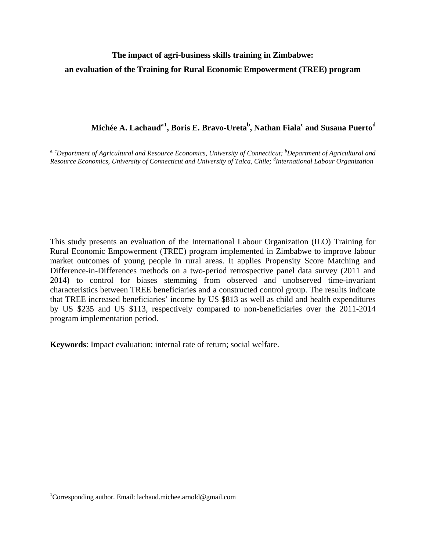# **The impact of agri-business skills training in Zimbabwe: an evaluation of the Training for Rural Economic Empowerment (TREE) program**

# $M$ ichée A.  $\bf{L}$ achaud $\rm ^{a1}$  $\rm ^{a1}$  $\rm ^{a1}$ , Boris E. Bravo-Ureta $\rm ^{b}$ , Nathan Fiala $\rm ^{c}$  and Susana Puerto $\rm ^{d}$

<sup>a, c</sup>Department of Agricultural and Resource Economics, University of Connecticut; <sup>b</sup>Department of Agricultural and *Resource Economics, University of Connecticut and University of Talca, Chile; <sup>d</sup> International Labour Organization*

This study presents an evaluation of the International Labour Organization (ILO) Training for Rural Economic Empowerment (TREE) program implemented in Zimbabwe to improve labour market outcomes of young people in rural areas. It applies Propensity Score Matching and Difference-in-Differences methods on a two-period retrospective panel data survey (2011 and 2014) to control for biases stemming from observed and unobserved time-invariant characteristics between TREE beneficiaries and a constructed control group. The results indicate that TREE increased beneficiaries' income by US \$813 as well as child and health expenditures by US \$235 and US \$113, respectively compared to non-beneficiaries over the 2011-2014 program implementation period.

**Keywords**: Impact evaluation; internal rate of return; social welfare.

 $\overline{\phantom{a}}$ 

<span id="page-0-0"></span><sup>&</sup>lt;sup>1</sup>Corresponding author. Email: lachaud.michee.arnold@gmail.com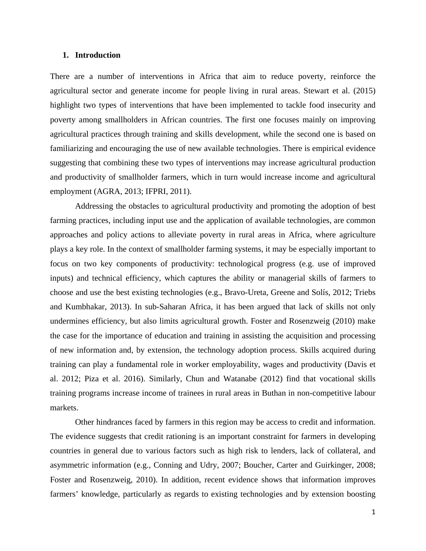#### **1. Introduction**

There are a number of interventions in Africa that aim to reduce poverty, reinforce the agricultural sector and generate income for people living in rural areas. Stewart et al. (2015) highlight two types of interventions that have been implemented to tackle food insecurity and poverty among smallholders in African countries. The first one focuses mainly on improving agricultural practices through training and skills development, while the second one is based on familiarizing and encouraging the use of new available technologies. There is empirical evidence suggesting that combining these two types of interventions may increase agricultural production and productivity of smallholder farmers, which in turn would increase income and agricultural employment (AGRA, 2013; IFPRI, 2011).

Addressing the obstacles to agricultural productivity and promoting the adoption of best farming practices, including input use and the application of available technologies, are common approaches and policy actions to alleviate poverty in rural areas in Africa, where agriculture plays a key role. In the context of smallholder farming systems, it may be especially important to focus on two key components of productivity: technological progress (e.g. use of improved inputs) and technical efficiency, which captures the ability or managerial skills of farmers to choose and use the best existing technologies (e.g., Bravo-Ureta, Greene and Solís, 2012; Triebs and Kumbhakar, 2013). In sub-Saharan Africa, it has been argued that lack of skills not only undermines efficiency, but also limits agricultural growth. Foster and Rosenzweig (2010) make the case for the importance of education and training in assisting the acquisition and processing of new information and, by extension, the technology adoption process. Skills acquired during training can play a fundamental role in worker employability, wages and productivity (Davis et al. 2012; Piza et al. 2016). Similarly, Chun and Watanabe (2012) find that vocational skills training programs increase income of trainees in rural areas in Buthan in non-competitive labour markets.

Other hindrances faced by farmers in this region may be access to credit and information. The evidence suggests that credit rationing is an important constraint for farmers in developing countries in general due to various factors such as high risk to lenders, lack of collateral, and asymmetric information (e.g., Conning and Udry, 2007; Boucher, Carter and Guirkinger, 2008; Foster and Rosenzweig, 2010). In addition, recent evidence shows that information improves farmers' knowledge, particularly as regards to existing technologies and by extension boosting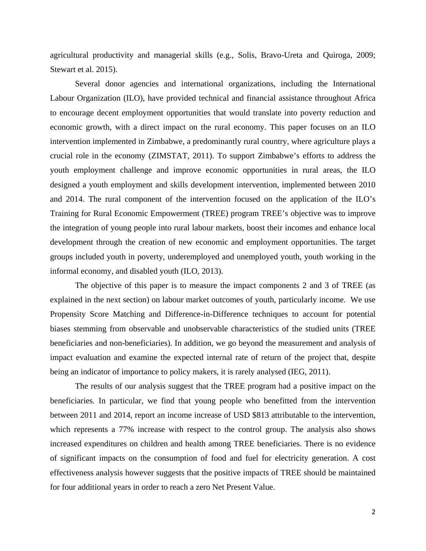agricultural productivity and managerial skills (e.g., Solis, Bravo-Ureta and Quiroga, 2009; Stewart et al. 2015).

Several donor agencies and international organizations, including the International Labour Organization (ILO), have provided technical and financial assistance throughout Africa to encourage decent employment opportunities that would translate into poverty reduction and economic growth, with a direct impact on the rural economy. This paper focuses on an ILO intervention implemented in Zimbabwe, a predominantly rural country, where agriculture plays a crucial role in the economy (ZIMSTAT, 2011). To support Zimbabwe's efforts to address the youth employment challenge and improve economic opportunities in rural areas, the ILO designed a youth employment and skills development intervention, implemented between 2010 and 2014. The rural component of the intervention focused on the application of the ILO's Training for Rural Economic Empowerment (TREE) program TREE's objective was to improve the integration of young people into rural labour markets, boost their incomes and enhance local development through the creation of new economic and employment opportunities. The target groups included youth in poverty, underemployed and unemployed youth, youth working in the informal economy, and disabled youth (ILO, 2013).

The objective of this paper is to measure the impact components 2 and 3 of TREE (as explained in the next section) on labour market outcomes of youth, particularly income. We use Propensity Score Matching and Difference-in-Difference techniques to account for potential biases stemming from observable and unobservable characteristics of the studied units (TREE beneficiaries and non-beneficiaries). In addition, we go beyond the measurement and analysis of impact evaluation and examine the expected internal rate of return of the project that, despite being an indicator of importance to policy makers, it is rarely analysed (IEG, 2011).

The results of our analysis suggest that the TREE program had a positive impact on the beneficiaries. In particular, we find that young people who benefitted from the intervention between 2011 and 2014, report an income increase of USD \$813 attributable to the intervention, which represents a 77% increase with respect to the control group. The analysis also shows increased expenditures on children and health among TREE beneficiaries. There is no evidence of significant impacts on the consumption of food and fuel for electricity generation. A cost effectiveness analysis however suggests that the positive impacts of TREE should be maintained for four additional years in order to reach a zero Net Present Value.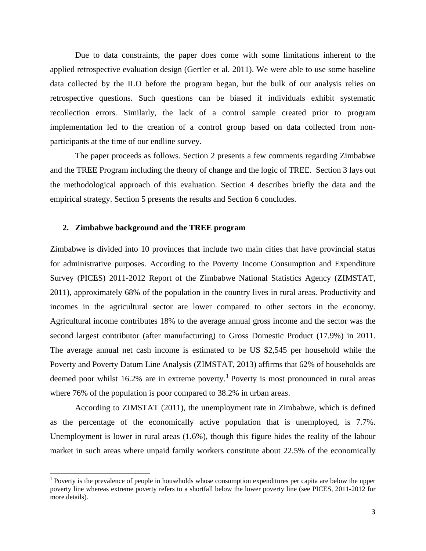Due to data constraints, the paper does come with some limitations inherent to the applied retrospective evaluation design (Gertler et al. 2011). We were able to use some baseline data collected by the ILO before the program began, but the bulk of our analysis relies on retrospective questions. Such questions can be biased if individuals exhibit systematic recollection errors. Similarly, the lack of a control sample created prior to program implementation led to the creation of a control group based on data collected from nonparticipants at the time of our endline survey.

The paper proceeds as follows. Section 2 presents a few comments regarding Zimbabwe and the TREE Program including the theory of change and the logic of TREE. Section 3 lays out the methodological approach of this evaluation. Section 4 describes briefly the data and the empirical strategy. Section 5 presents the results and Section 6 concludes.

#### **2. Zimbabwe background and the TREE program**

l

Zimbabwe is divided into 10 provinces that include two main cities that have provincial status for administrative purposes. According to the Poverty Income Consumption and Expenditure Survey (PICES) 2011-2012 Report of the Zimbabwe National Statistics Agency (ZIMSTAT, 2011), approximately 68% of the population in the country lives in rural areas. Productivity and incomes in the agricultural sector are lower compared to other sectors in the economy. Agricultural income contributes 18% to the average annual gross income and the sector was the second largest contributor (after manufacturing) to Gross Domestic Product (17.9%) in 2011. The average annual net cash income is estimated to be US \$2,545 per household while the Poverty and Poverty Datum Line Analysis (ZIMSTAT, 2013) affirms that 62% of households are deemed poor whilst [1](#page-3-0)6.2% are in extreme poverty.<sup>1</sup> Poverty is most pronounced in rural areas where 76% of the population is poor compared to 38.2% in urban areas.

According to ZIMSTAT (2011), the unemployment rate in Zimbabwe, which is defined as the percentage of the economically active population that is unemployed, is 7.7%. Unemployment is lower in rural areas (1.6%), though this figure hides the reality of the labour market in such areas where unpaid family workers constitute about 22.5% of the economically

<span id="page-3-0"></span><sup>&</sup>lt;sup>1</sup> Poverty is the prevalence of people in households whose consumption expenditures per capita are below the upper poverty line whereas extreme poverty refers to a shortfall below the lower poverty line (see PICES, 2011-2012 for more details).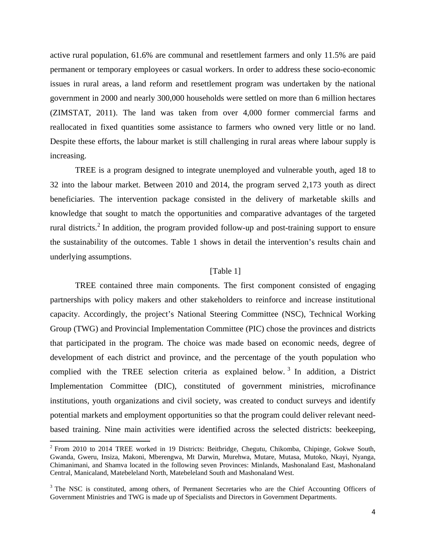active rural population, 61.6% are communal and resettlement farmers and only 11.5% are paid permanent or temporary employees or casual workers. In order to address these socio-economic issues in rural areas, a land reform and resettlement program was undertaken by the national government in 2000 and nearly 300,000 households were settled on more than 6 million hectares (ZIMSTAT, 2011). The land was taken from over 4,000 former commercial farms and reallocated in fixed quantities some assistance to farmers who owned very little or no land. Despite these efforts, the labour market is still challenging in rural areas where labour supply is increasing.

TREE is a program designed to integrate unemployed and vulnerable youth, aged 18 to 32 into the labour market. Between 2010 and 2014, the program served 2,173 youth as direct beneficiaries. The intervention package consisted in the delivery of marketable skills and knowledge that sought to match the opportunities and comparative advantages of the targeted rural districts.<sup>[2](#page-4-0)</sup> In addition, the program provided follow-up and post-training support to ensure the sustainability of the outcomes. Table 1 shows in detail the intervention's results chain and underlying assumptions.

## [Table 1]

TREE contained three main components. The first component consisted of engaging partnerships with policy makers and other stakeholders to reinforce and increase institutional capacity. Accordingly, the project's National Steering Committee (NSC), Technical Working Group (TWG) and Provincial Implementation Committee (PIC) chose the provinces and districts that participated in the program. The choice was made based on economic needs, degree of development of each district and province, and the percentage of the youth population who complied with the TREE selection criteria as explained below.<sup>[3](#page-4-1)</sup> In addition, a District Implementation Committee (DIC), constituted of government ministries, microfinance institutions, youth organizations and civil society, was created to conduct surveys and identify potential markets and employment opportunities so that the program could deliver relevant needbased training. Nine main activities were identified across the selected districts: beekeeping,

 $\overline{\phantom{a}}$ 

<span id="page-4-0"></span><sup>2</sup> From 2010 to 2014 TREE worked in 19 Districts: Beitbridge, Chegutu, Chikomba, Chipinge, Gokwe South, Gwanda, Gweru, Insiza, Makoni, Mberengwa, Mt Darwin, Murehwa, Mutare, Mutasa, Mutoko, Nkayi, Nyanga, Chimanimani, and Shamva located in the following seven Provinces: Minlands, Mashonaland East, Mashonaland Central, Manicaland, Matebeleland North, Matebeleland South and Mashonaland West.

<span id="page-4-1"></span><sup>&</sup>lt;sup>3</sup> The NSC is constituted, among others, of Permanent Secretaries who are the Chief Accounting Officers of Government Ministries and TWG is made up of Specialists and Directors in Government Departments.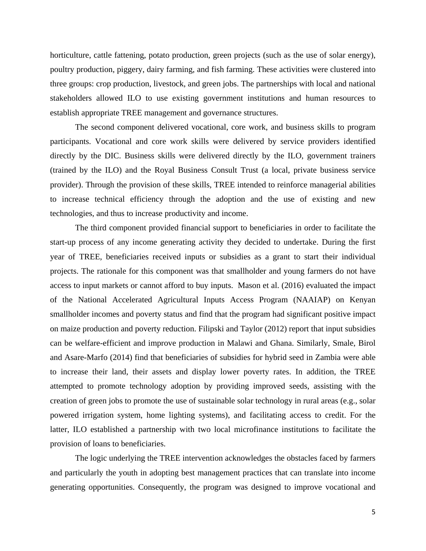horticulture, cattle fattening, potato production, green projects (such as the use of solar energy), poultry production, piggery, dairy farming, and fish farming. These activities were clustered into three groups: crop production, livestock, and green jobs. The partnerships with local and national stakeholders allowed ILO to use existing government institutions and human resources to establish appropriate TREE management and governance structures.

The second component delivered vocational, core work, and business skills to program participants. Vocational and core work skills were delivered by service providers identified directly by the DIC. Business skills were delivered directly by the ILO, government trainers (trained by the ILO) and the Royal Business Consult Trust (a local, private business service provider). Through the provision of these skills, TREE intended to reinforce managerial abilities to increase technical efficiency through the adoption and the use of existing and new technologies, and thus to increase productivity and income.

The third component provided financial support to beneficiaries in order to facilitate the start-up process of any income generating activity they decided to undertake. During the first year of TREE, beneficiaries received inputs or subsidies as a grant to start their individual projects. The rationale for this component was that smallholder and young farmers do not have access to input markets or cannot afford to buy inputs. Mason et al. (2016) evaluated the impact of the National Accelerated Agricultural Inputs Access Program (NAAIAP) on Kenyan smallholder incomes and poverty status and find that the program had significant positive impact on maize production and poverty reduction. Filipski and Taylor (2012) report that input subsidies can be welfare-efficient and improve production in Malawi and Ghana. Similarly, Smale, Birol and Asare-Marfo (2014) find that beneficiaries of subsidies for hybrid seed in Zambia were able to increase their land, their assets and display lower poverty rates. In addition, the TREE attempted to promote technology adoption by providing improved seeds, assisting with the creation of green jobs to promote the use of sustainable solar technology in rural areas (e.g., solar powered irrigation system, home lighting systems), and facilitating access to credit. For the latter, ILO established a partnership with two local microfinance institutions to facilitate the provision of loans to beneficiaries.

The logic underlying the TREE intervention acknowledges the obstacles faced by farmers and particularly the youth in adopting best management practices that can translate into income generating opportunities. Consequently, the program was designed to improve vocational and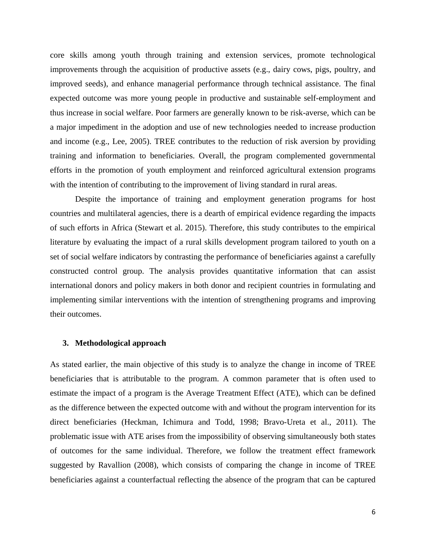core skills among youth through training and extension services, promote technological improvements through the acquisition of productive assets (e.g., dairy cows, pigs, poultry, and improved seeds), and enhance managerial performance through technical assistance. The final expected outcome was more young people in productive and sustainable self-employment and thus increase in social welfare. Poor farmers are generally known to be risk-averse, which can be a major impediment in the adoption and use of new technologies needed to increase production and income (e.g., Lee, 2005). TREE contributes to the reduction of risk aversion by providing training and information to beneficiaries. Overall, the program complemented governmental efforts in the promotion of youth employment and reinforced agricultural extension programs with the intention of contributing to the improvement of living standard in rural areas.

Despite the importance of training and employment generation programs for host countries and multilateral agencies, there is a dearth of empirical evidence regarding the impacts of such efforts in Africa (Stewart et al. 2015). Therefore, this study contributes to the empirical literature by evaluating the impact of a rural skills development program tailored to youth on a set of social welfare indicators by contrasting the performance of beneficiaries against a carefully constructed control group. The analysis provides quantitative information that can assist international donors and policy makers in both donor and recipient countries in formulating and implementing similar interventions with the intention of strengthening programs and improving their outcomes.

#### **3. Methodological approach**

As stated earlier, the main objective of this study is to analyze the change in income of TREE beneficiaries that is attributable to the program. A common parameter that is often used to estimate the impact of a program is the Average Treatment Effect (ATE), which can be defined as the difference between the expected outcome with and without the program intervention for its direct beneficiaries (Heckman, Ichimura and Todd, 1998; Bravo-Ureta et al., 2011). The problematic issue with ATE arises from the impossibility of observing simultaneously both states of outcomes for the same individual. Therefore, we follow the treatment effect framework suggested by Ravallion (2008), which consists of comparing the change in income of TREE beneficiaries against a counterfactual reflecting the absence of the program that can be captured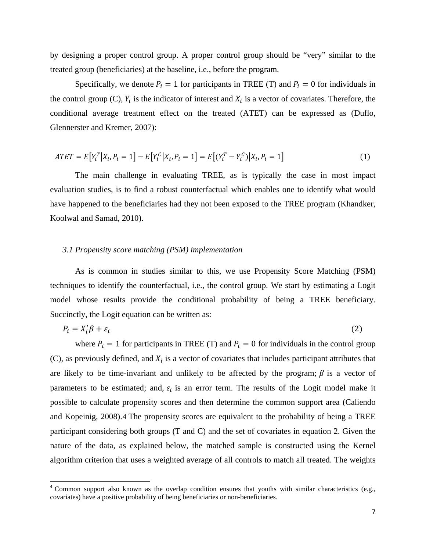by designing a proper control group. A proper control group should be "very" similar to the treated group (beneficiaries) at the baseline, i.e., before the program.

Specifically, we denote  $P_i = 1$  for participants in TREE (T) and  $P_i = 0$  for individuals in the control group (C),  $Y_i$  is the indicator of interest and  $X_i$  is a vector of covariates. Therefore, the conditional average treatment effect on the treated (ATET) can be expressed as (Duflo, Glennerster and Kremer, 2007):

$$
ATET = E[Y_i^T | X_i, P_i = 1] - E[Y_i^C | X_i, P_i = 1] = E[(Y_i^T - Y_i^C) | X_i, P_i = 1]
$$
\n(1)

The main challenge in evaluating TREE, as is typically the case in most impact evaluation studies, is to find a robust counterfactual which enables one to identify what would have happened to the beneficiaries had they not been exposed to the TREE program (Khandker, Koolwal and Samad, 2010).

#### *3.1 Propensity score matching (PSM) implementation*

 $\overline{\phantom{a}}$ 

As is common in studies similar to this, we use Propensity Score Matching (PSM) techniques to identify the counterfactual, i.e., the control group. We start by estimating a Logit model whose results provide the conditional probability of being a TREE beneficiary. Succinctly, the Logit equation can be written as:

$$
P_i = X_i' \beta + \varepsilon_i \tag{2}
$$

where  $P_i = 1$  for participants in TREE (T) and  $P_i = 0$  for individuals in the control group (C), as previously defined, and  $X_i$  is a vector of covariates that includes participant attributes that are likely to be time-invariant and unlikely to be affected by the program;  $\beta$  is a vector of parameters to be estimated; and,  $\varepsilon_i$  is an error term. The results of the Logit model make it possible to calculate propensity scores and then determine the common support area (Caliendo and Kopeinig, 2008).[4](#page-7-0) The propensity scores are equivalent to the probability of being a TREE participant considering both groups (T and C) and the set of covariates in equation 2. Given the nature of the data, as explained below, the matched sample is constructed using the Kernel algorithm criterion that uses a weighted average of all controls to match all treated. The weights

<span id="page-7-0"></span><sup>&</sup>lt;sup>4</sup> Common support also known as the overlap condition ensures that youths with similar characteristics (e.g., covariates) have a positive probability of being beneficiaries or non-beneficiaries.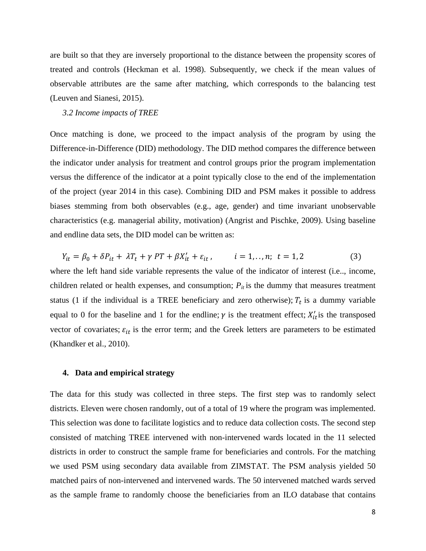are built so that they are inversely proportional to the distance between the propensity scores of treated and controls (Heckman et al. 1998). Subsequently, we check if the mean values of observable attributes are the same after matching, which corresponds to the balancing test (Leuven and Sianesi, 2015).

#### *3.2 Income impacts of TREE*

Once matching is done, we proceed to the impact analysis of the program by using the Difference-in-Difference (DID) methodology. The DID method compares the difference between the indicator under analysis for treatment and control groups prior the program implementation versus the difference of the indicator at a point typically close to the end of the implementation of the project (year 2014 in this case). Combining DID and PSM makes it possible to address biases stemming from both observables (e.g., age, gender) and time invariant unobservable characteristics (e.g. managerial ability, motivation) (Angrist and Pischke, 2009). Using baseline and endline data sets, the DID model can be written as:

$$
Y_{it} = \beta_0 + \delta P_{it} + \lambda T_t + \gamma PT + \beta X'_{it} + \varepsilon_{it}, \qquad i = 1,..,n; \ t = 1,2 \tag{3}
$$

where the left hand side variable represents the value of the indicator of interest (i.e.., income, children related or health expenses, and consumption;  $P_{it}$  is the dummy that measures treatment status (1 if the individual is a TREE beneficiary and zero otherwise);  $T_t$  is a dummy variable equal to 0 for the baseline and 1 for the endline;  $\gamma$  is the treatment effect;  $X'_{it}$  is the transposed vector of covariates;  $\varepsilon_{it}$  is the error term; and the Greek letters are parameters to be estimated (Khandker et al., 2010).

#### **4. Data and empirical strategy**

The data for this study was collected in three steps. The first step was to randomly select districts. Eleven were chosen randomly, out of a total of 19 where the program was implemented. This selection was done to facilitate logistics and to reduce data collection costs. The second step consisted of matching TREE intervened with non-intervened wards located in the 11 selected districts in order to construct the sample frame for beneficiaries and controls. For the matching we used PSM using secondary data available from ZIMSTAT. The PSM analysis yielded 50 matched pairs of non-intervened and intervened wards. The 50 intervened matched wards served as the sample frame to randomly choose the beneficiaries from an ILO database that contains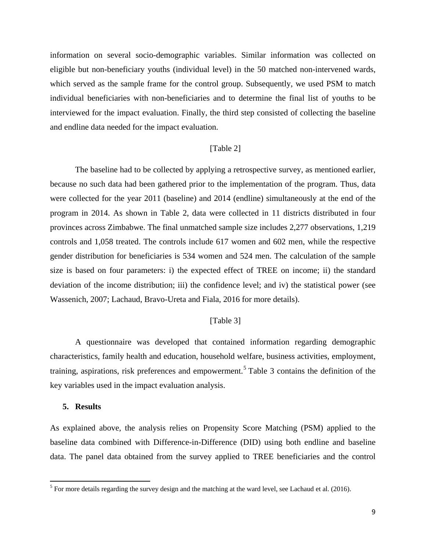information on several socio-demographic variables. Similar information was collected on eligible but non-beneficiary youths (individual level) in the 50 matched non-intervened wards, which served as the sample frame for the control group. Subsequently, we used PSM to match individual beneficiaries with non-beneficiaries and to determine the final list of youths to be interviewed for the impact evaluation. Finally, the third step consisted of collecting the baseline and endline data needed for the impact evaluation.

## [Table 2]

The baseline had to be collected by applying a retrospective survey, as mentioned earlier, because no such data had been gathered prior to the implementation of the program. Thus, data were collected for the year 2011 (baseline) and 2014 (endline) simultaneously at the end of the program in 2014. As shown in Table 2, data were collected in 11 districts distributed in four provinces across Zimbabwe. The final unmatched sample size includes 2,277 observations, 1,219 controls and 1,058 treated. The controls include 617 women and 602 men, while the respective gender distribution for beneficiaries is 534 women and 524 men. The calculation of the sample size is based on four parameters: i) the expected effect of TREE on income; ii) the standard deviation of the income distribution; iii) the confidence level; and iv) the statistical power (see Wassenich, 2007; Lachaud, Bravo-Ureta and Fiala, 2016 for more details).

## [Table 3]

A questionnaire was developed that contained information regarding demographic characteristics, family health and education, household welfare, business activities, employment, training, aspirations, risk preferences and empowerment.<sup>[5](#page-9-0)</sup> Table 3 contains the definition of the key variables used in the impact evaluation analysis.

#### **5. Results**

 $\overline{\phantom{a}}$ 

As explained above, the analysis relies on Propensity Score Matching (PSM) applied to the baseline data combined with Difference-in-Difference (DID) using both endline and baseline data. The panel data obtained from the survey applied to TREE beneficiaries and the control

<span id="page-9-0"></span> $<sup>5</sup>$  For more details regarding the survey design and the matching at the ward level, see Lachaud et al. (2016).</sup>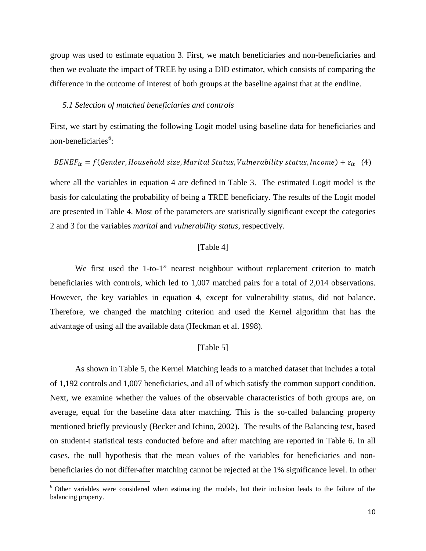group was used to estimate equation 3. First, we match beneficiaries and non-beneficiaries and then we evaluate the impact of TREE by using a DID estimator, which consists of comparing the difference in the outcome of interest of both groups at the baseline against that at the endline.

#### *5.1 Selection of matched beneficiaries and controls*

First, we start by estimating the following Logit model using baseline data for beneficiaries and non-beneficiaries<sup>[6](#page-10-0)</sup>:

## $BENER_{it} = f(Gender, Household size, Marital Status, Vuheraibility status, Income) + \varepsilon_{it}$  (4)

where all the variables in equation 4 are defined in Table 3. The estimated Logit model is the basis for calculating the probability of being a TREE beneficiary. The results of the Logit model are presented in Table 4. Most of the parameters are statistically significant except the categories 2 and 3 for the variables *marital* and *vulnerability status*, respectively.

## [Table 4]

We first used the 1-to-1" nearest neighbour without replacement criterion to match beneficiaries with controls, which led to 1,007 matched pairs for a total of 2,014 observations. However, the key variables in equation 4, except for vulnerability status, did not balance. Therefore, we changed the matching criterion and used the Kernel algorithm that has the advantage of using all the available data (Heckman et al. 1998).

#### [Table 5]

As shown in Table 5, the Kernel Matching leads to a matched dataset that includes a total of 1,192 controls and 1,007 beneficiaries, and all of which satisfy the common support condition. Next, we examine whether the values of the observable characteristics of both groups are, on average, equal for the baseline data after matching. This is the so-called balancing property mentioned briefly previously (Becker and Ichino, 2002). The results of the Balancing test, based on student-t statistical tests conducted before and after matching are reported in Table 6. In all cases, the null hypothesis that the mean values of the variables for beneficiaries and nonbeneficiaries do not differ after matching cannot be rejected at the 1% significance level. In other

 $\overline{\phantom{a}}$ 

<span id="page-10-0"></span><sup>6</sup> Other variables were considered when estimating the models, but their inclusion leads to the failure of the balancing property.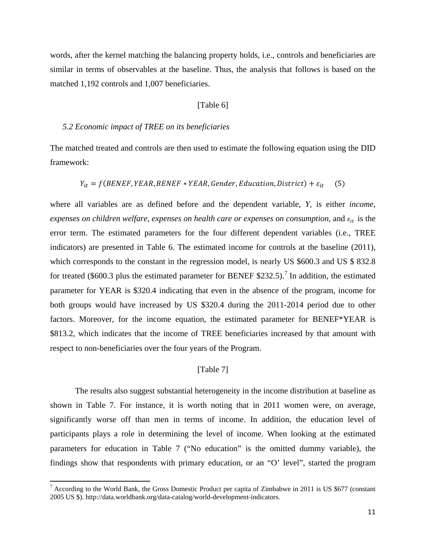words, after the kernel matching the balancing property holds, i.e., controls and beneficiaries are similar in terms of observables at the baseline. Thus, the analysis that follows is based on the matched 1,192 controls and 1,007 beneficiaries.

#### [Table 6]

#### *5.2 Economic impact of TREE on its beneficiaries*

The matched treated and controls are then used to estimate the following equation using the DID framework:

$$
Y_{it} = f(BENEF, YEAR, BENEF * YEAR, Gender, Education, District) + \varepsilon_{it}
$$
 (5)

where all variables are as defined before and the dependent variable, *Y*, is either *income*, *expenses on children welfare, expenses on health care or expenses on consumption, and*  $\varepsilon_{it}$  *is the* error term. The estimated parameters for the four different dependent variables (i.e., TREE indicators) are presented in Table 6. The estimated income for controls at the baseline (2011), which corresponds to the constant in the regression model, is nearly US \$600.3 and US \$832.8 for treated (\$600.3 plus the estimated parameter for BENEF \$232.5).<sup>[7](#page-11-0)</sup> In addition, the estimated parameter for YEAR is \$320.4 indicating that even in the absence of the program, income for both groups would have increased by US \$320.4 during the 2011-2014 period due to other factors. Moreover, for the income equation, the estimated parameter for BENEF\*YEAR is \$813.2, which indicates that the income of TREE beneficiaries increased by that amount with respect to non-beneficiaries over the four years of the Program.

## [Table 7]

The results also suggest substantial heterogeneity in the income distribution at baseline as shown in Table 7. For instance, it is worth noting that in 2011 women were, on average, significantly worse off than men in terms of income. In addition, the education level of participants plays a role in determining the level of income. When looking at the estimated parameters for education in Table 7 ("No education" is the omitted dummy variable), the findings show that respondents with primary education, or an "O' level", started the program

 $\overline{\phantom{a}}$ 

<span id="page-11-0"></span><sup>7</sup> According to the World Bank, the Gross Domestic Product per capita of Zimbabwe in 2011 is US \$677 (constant 2005 US \$). http://data.worldbank.org/data-catalog/world-development-indicators.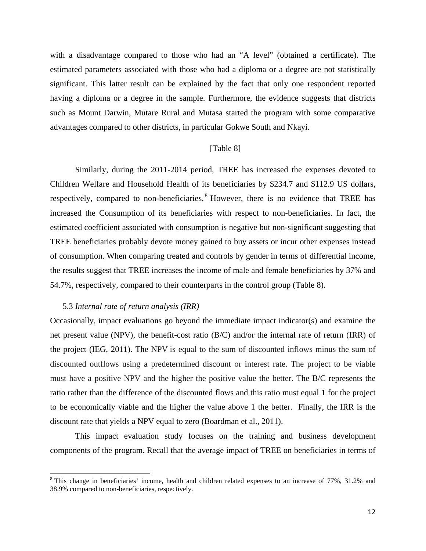with a disadvantage compared to those who had an "A level" (obtained a certificate). The estimated parameters associated with those who had a diploma or a degree are not statistically significant. This latter result can be explained by the fact that only one respondent reported having a diploma or a degree in the sample. Furthermore, the evidence suggests that districts such as Mount Darwin, Mutare Rural and Mutasa started the program with some comparative advantages compared to other districts, in particular Gokwe South and Nkayi.

#### [Table 8]

Similarly, during the 2011-2014 period, TREE has increased the expenses devoted to Children Welfare and Household Health of its beneficiaries by \$234.7 and \$112.9 US dollars, respectively, compared to non-beneficiaries.<sup>[8](#page-12-0)</sup> However, there is no evidence that TREE has increased the Consumption of its beneficiaries with respect to non-beneficiaries. In fact, the estimated coefficient associated with consumption is negative but non-significant suggesting that TREE beneficiaries probably devote money gained to buy assets or incur other expenses instead of consumption. When comparing treated and controls by gender in terms of differential income, the results suggest that TREE increases the income of male and female beneficiaries by 37% and 54.7%, respectively, compared to their counterparts in the control group (Table 8).

#### 5.3 *Internal rate of return analysis (IRR)*

l

Occasionally, impact evaluations go beyond the immediate impact indicator(s) and examine the net present value (NPV), the benefit-cost ratio (B/C) and/or the internal rate of return (IRR) of the project (IEG, 2011). The NPV is equal to the sum of discounted inflows minus the sum of discounted outflows using a predetermined discount or interest rate. The project to be viable must have a positive NPV and the higher the positive value the better. The B/C represents the ratio rather than the difference of the discounted flows and this ratio must equal 1 for the project to be economically viable and the higher the value above 1 the better. Finally, the IRR is the discount rate that yields a NPV equal to zero (Boardman et al., 2011).

This impact evaluation study focuses on the training and business development components of the program. Recall that the average impact of TREE on beneficiaries in terms of

<span id="page-12-0"></span><sup>8</sup> This change in beneficiaries' income, health and children related expenses to an increase of 77%, 31.2% and 38.9% compared to non-beneficiaries, respectively.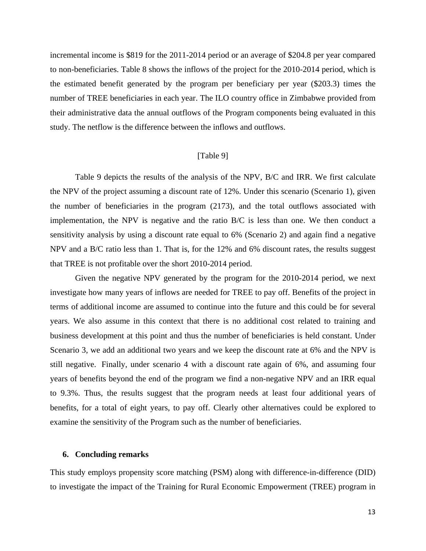incremental income is \$819 for the 2011-2014 period or an average of \$204.8 per year compared to non-beneficiaries. Table 8 shows the inflows of the project for the 2010-2014 period, which is the estimated benefit generated by the program per beneficiary per year (\$203.3) times the number of TREE beneficiaries in each year. The ILO country office in Zimbabwe provided from their administrative data the annual outflows of the Program components being evaluated in this study. The netflow is the difference between the inflows and outflows.

## [Table 9]

Table 9 depicts the results of the analysis of the NPV, B/C and IRR. We first calculate the NPV of the project assuming a discount rate of 12%. Under this scenario (Scenario 1), given the number of beneficiaries in the program (2173), and the total outflows associated with implementation, the NPV is negative and the ratio B/C is less than one. We then conduct a sensitivity analysis by using a discount rate equal to 6% (Scenario 2) and again find a negative NPV and a B/C ratio less than 1. That is, for the 12% and 6% discount rates, the results suggest that TREE is not profitable over the short 2010-2014 period.

Given the negative NPV generated by the program for the 2010-2014 period, we next investigate how many years of inflows are needed for TREE to pay off. Benefits of the project in terms of additional income are assumed to continue into the future and this could be for several years. We also assume in this context that there is no additional cost related to training and business development at this point and thus the number of beneficiaries is held constant. Under Scenario 3, we add an additional two years and we keep the discount rate at 6% and the NPV is still negative. Finally, under scenario 4 with a discount rate again of 6%, and assuming four years of benefits beyond the end of the program we find a non-negative NPV and an IRR equal to 9.3%. Thus, the results suggest that the program needs at least four additional years of benefits, for a total of eight years, to pay off. Clearly other alternatives could be explored to examine the sensitivity of the Program such as the number of beneficiaries.

#### **6. Concluding remarks**

This study employs propensity score matching (PSM) along with difference-in-difference (DID) to investigate the impact of the Training for Rural Economic Empowerment (TREE) program in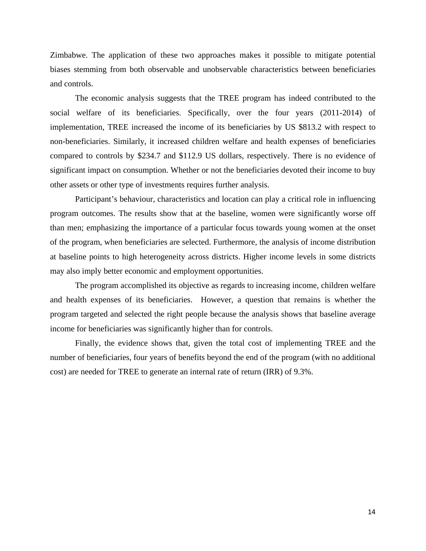Zimbabwe. The application of these two approaches makes it possible to mitigate potential biases stemming from both observable and unobservable characteristics between beneficiaries and controls.

The economic analysis suggests that the TREE program has indeed contributed to the social welfare of its beneficiaries. Specifically, over the four years (2011-2014) of implementation, TREE increased the income of its beneficiaries by US \$813.2 with respect to non-beneficiaries. Similarly, it increased children welfare and health expenses of beneficiaries compared to controls by \$234.7 and \$112.9 US dollars, respectively. There is no evidence of significant impact on consumption. Whether or not the beneficiaries devoted their income to buy other assets or other type of investments requires further analysis.

Participant's behaviour, characteristics and location can play a critical role in influencing program outcomes. The results show that at the baseline, women were significantly worse off than men; emphasizing the importance of a particular focus towards young women at the onset of the program, when beneficiaries are selected. Furthermore, the analysis of income distribution at baseline points to high heterogeneity across districts. Higher income levels in some districts may also imply better economic and employment opportunities.

The program accomplished its objective as regards to increasing income, children welfare and health expenses of its beneficiaries. However, a question that remains is whether the program targeted and selected the right people because the analysis shows that baseline average income for beneficiaries was significantly higher than for controls.

Finally, the evidence shows that, given the total cost of implementing TREE and the number of beneficiaries, four years of benefits beyond the end of the program (with no additional cost) are needed for TREE to generate an internal rate of return (IRR) of 9.3%.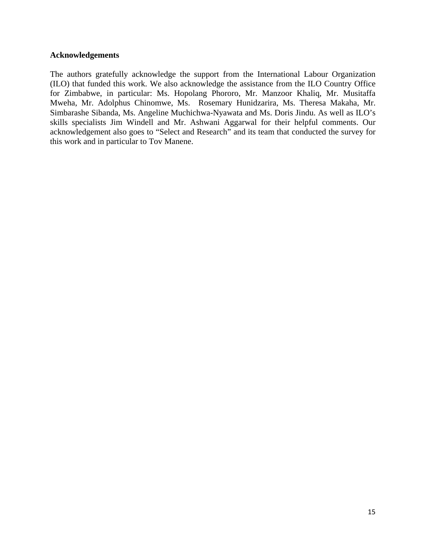## **Acknowledgements**

The authors gratefully acknowledge the support from the International Labour Organization (ILO) that funded this work. We also acknowledge the assistance from the ILO Country Office for Zimbabwe, in particular: Ms. Hopolang Phororo, Mr. Manzoor Khaliq, Mr. Musitaffa Mweha, Mr. Adolphus Chinomwe, Ms. Rosemary Hunidzarira, Ms. Theresa Makaha, Mr. Simbarashe Sibanda, Ms. Angeline Muchichwa-Nyawata and Ms. Doris Jindu. As well as ILO's skills specialists Jim Windell and Mr. Ashwani Aggarwal for their helpful comments. Our acknowledgement also goes to "Select and Research" and its team that conducted the survey for this work and in particular to Tov Manene.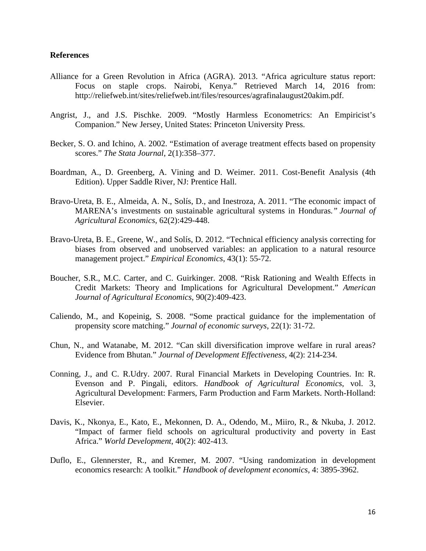## **References**

- Alliance for a Green Revolution in Africa (AGRA). 2013. "Africa agriculture status report: Focus on staple crops. Nairobi, Kenya." Retrieved March 14, 2016 from: [http://reliefweb.int/sites/reliefweb.int/files/resources/agrafinalaugust20akim.pdf.](http://reliefweb.int/sites/reliefweb.int/files/resources/agrafinalaugust20akim.pdf)
- Angrist, J., and J.S. Pischke. 2009. "Mostly Harmless Econometrics: An Empiricist's Companion." New Jersey, United States: Princeton University Press.
- Becker, S. O. and Ichino, A. 2002. "Estimation of average treatment effects based on propensity scores." *The Stata Journal*, 2(1):358–377.
- Boardman, A., D. Greenberg, A. Vining and D. Weimer. 2011. Cost-Benefit Analysis (4th Edition). Upper Saddle River, NJ: Prentice Hall.
- Bravo-Ureta, B. E., Almeida, A. N., Solís, D., and Inestroza, A. 2011. "The economic impact of MARENA's investments on sustainable agricultural systems in Honduras*." Journal of Agricultural Economics*, 62(2):429-448.
- Bravo-Ureta, B. E., Greene, W., and Solís, D. 2012. "Technical efficiency analysis correcting for biases from observed and unobserved variables: an application to a natural resource management project." *Empirical Economics*, 43(1): 55-72.
- Boucher, S.R., M.C. Carter, and C. Guirkinger. 2008. "Risk Rationing and Wealth Effects in Credit Markets: Theory and Implications for Agricultural Development." *American Journal of Agricultural Economics*, 90(2):409-423.
- Caliendo, M., and Kopeinig, S. 2008. "Some practical guidance for the implementation of propensity score matching." *Journal of economic surveys*, 22(1): 31-72.
- Chun, N., and Watanabe, M. 2012. "Can skill diversification improve welfare in rural areas? Evidence from Bhutan." *Journal of Development Effectiveness*, 4(2): 214-234.
- Conning, J., and C. R.Udry. 2007. Rural Financial Markets in Developing Countries. In: R. Evenson and P. Pingali, editors. *Handbook of Agricultural Economics*, vol. 3, Agricultural Development: Farmers, Farm Production and Farm Markets. North-Holland: Elsevier.
- Davis, K., Nkonya, E., Kato, E., Mekonnen, D. A., Odendo, M., Miiro, R., & Nkuba, J. 2012. "Impact of farmer field schools on agricultural productivity and poverty in East Africa." *World Development*, 40(2): 402-413.
- Duflo, E., Glennerster, R., and Kremer, M. 2007. "Using randomization in development economics research: A toolkit." *Handbook of development economics*, 4: 3895-3962.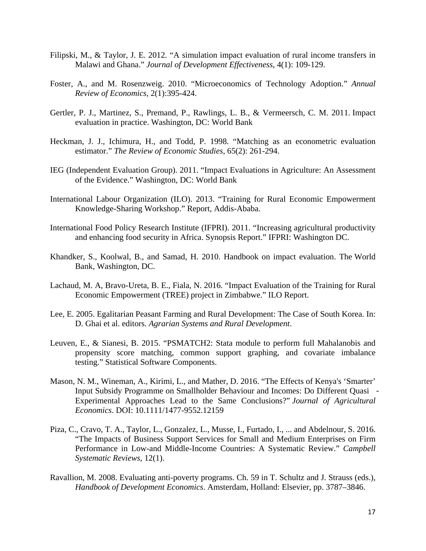- Filipski, M., & Taylor, J. E. 2012. "A simulation impact evaluation of rural income transfers in Malawi and Ghana." *Journal of Development Effectiveness*, 4(1): 109-129.
- Foster, A., and M. Rosenzweig. 2010. "Microeconomics of Technology Adoption." *Annual Review of Economics,* 2(1):395-424.
- Gertler, P. J., Martinez, S., Premand, P., Rawlings, L. B., & Vermeersch, C. M. 2011. Impact evaluation in practice. Washington, DC: World Bank
- Heckman, J. J., Ichimura, H., and Todd, P. 1998. "Matching as an econometric evaluation estimator." *The Review of Economic Studies*, 65(2): 261-294.
- IEG (Independent Evaluation Group). 2011. "Impact Evaluations in Agriculture: An Assessment of the Evidence." Washington, DC: World Bank
- International Labour Organization (ILO). 2013. "Training for Rural Economic Empowerment Knowledge-Sharing Workshop." Report, Addis-Ababa.
- International Food Policy Research Institute (IFPRI). 2011. "Increasing agricultural productivity and enhancing food security in Africa. Synopsis Report." IFPRI: Washington DC.
- Khandker, S., Koolwal, B., and Samad, H. 2010. Handbook on impact evaluation. The World Bank, Washington, DC.
- Lachaud, M. A, Bravo-Ureta, B. E., Fiala, N. 2016. "Impact Evaluation of the Training for Rural Economic Empowerment (TREE) project in Zimbabwe." ILO Report.
- Lee, E. 2005. Egalitarian Peasant Farming and Rural Development: The Case of South Korea. In: D. Ghai et al. editors. *Agrarian Systems and Rural Development*.
- Leuven, E., & Sianesi, B. 2015. "PSMATCH2: Stata module to perform full Mahalanobis and propensity score matching, common support graphing, and covariate imbalance testing." Statistical Software Components.
- Mason, N. M., Wineman, A., Kirimi, L., and Mather, D. 2016. "The Effects of Kenya's 'Smarter' Input Subsidy Programme on Smallholder Behaviour and Incomes: Do Different Quasi ‐ Experimental Approaches Lead to the Same Conclusions?" *Journal of Agricultural Economics*. DOI: 10.1111/1477-9552.12159
- Piza, C., Cravo, T. A., Taylor, L., Gonzalez, L., Musse, I., Furtado, I., ... and Abdelnour, S. 2016. "The Impacts of Business Support Services for Small and Medium Enterprises on Firm Performance in Low-and Middle-Income Countries: A Systematic Review." *Campbell Systematic Reviews*, 12(1).
- Ravallion, M. 2008. Evaluating anti-poverty programs. Ch. 59 in T. Schultz and J. Strauss (eds.), *Handbook of Development Economics*. Amsterdam, Holland: Elsevier, pp. 3787–3846.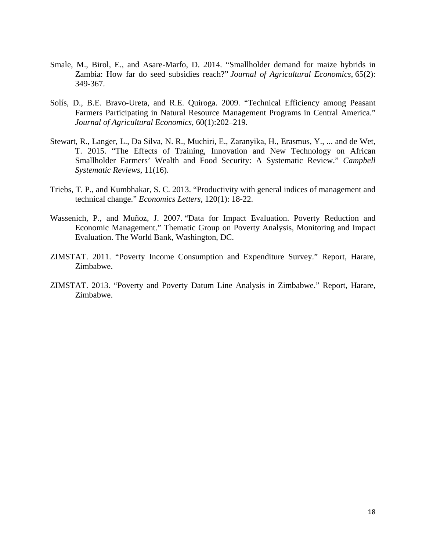- Smale, M., Birol, E., and Asare-Marfo, D. 2014. "Smallholder demand for maize hybrids in Zambia: How far do seed subsidies reach?" *Journal of Agricultural Economics*, 65(2): 349-367.
- Solís, D., B.E. Bravo-Ureta, and R.E. Quiroga. 2009. "Technical Efficiency among Peasant Farmers Participating in Natural Resource Management Programs in Central America." *Journal of Agricultural Economics*, 60(1):202–219.
- Stewart, R., Langer, L., Da Silva, N. R., Muchiri, E., Zaranyika, H., Erasmus, Y., ... and de Wet, T. 2015. "The Effects of Training, Innovation and New Technology on African Smallholder Farmers' Wealth and Food Security: A Systematic Review." *Campbell Systematic Reviews*, 11(16).
- Triebs, T. P., and Kumbhakar, S. C. 2013. "Productivity with general indices of management and technical change." *Economics Letters*, 120(1): 18-22.
- Wassenich, P., and Muñoz, J. 2007. "Data for Impact Evaluation. Poverty Reduction and Economic Management." Thematic Group on Poverty Analysis, Monitoring and Impact Evaluation. The World Bank, Washington, DC.
- ZIMSTAT. 2011. "Poverty Income Consumption and Expenditure Survey." Report, Harare, Zimbabwe.
- ZIMSTAT. 2013. "Poverty and Poverty Datum Line Analysis in Zimbabwe." Report, Harare, Zimbabwe.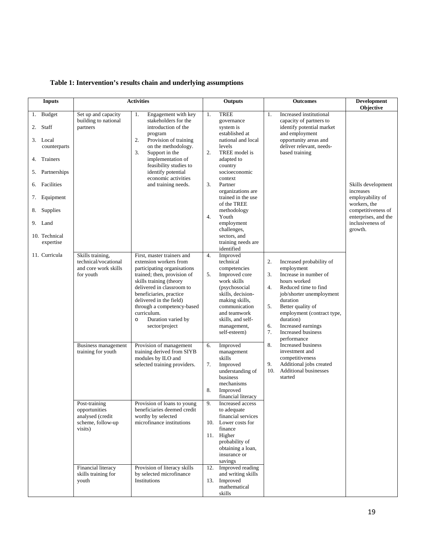| <b>Inputs</b>                                                                                                                                                                                                 |                                                                                                                                          | <b>Activities</b>                                                                                                                                                                                                                                                                                                                                                                                                                                                                                                                                                     |                                  | Outputs                                                                                                                                                                                                                                                                                                                                                                                                                                                                                                        |                             | <b>Outcomes</b>                                                                                                                                                                                                                                                                                                                                                                | <b>Development</b><br>Objective                                                                                                                  |
|---------------------------------------------------------------------------------------------------------------------------------------------------------------------------------------------------------------|------------------------------------------------------------------------------------------------------------------------------------------|-----------------------------------------------------------------------------------------------------------------------------------------------------------------------------------------------------------------------------------------------------------------------------------------------------------------------------------------------------------------------------------------------------------------------------------------------------------------------------------------------------------------------------------------------------------------------|----------------------------------|----------------------------------------------------------------------------------------------------------------------------------------------------------------------------------------------------------------------------------------------------------------------------------------------------------------------------------------------------------------------------------------------------------------------------------------------------------------------------------------------------------------|-----------------------------|--------------------------------------------------------------------------------------------------------------------------------------------------------------------------------------------------------------------------------------------------------------------------------------------------------------------------------------------------------------------------------|--------------------------------------------------------------------------------------------------------------------------------------------------|
| <b>Budget</b><br>1.<br>2. Staff<br>3. Local<br>counterparts<br>4. Trainers<br>Partnerships<br>5.<br>6. Facilities<br>Equipment<br>7.<br>8. Supplies<br>9. Land<br>10. Technical<br>expertise<br>11. Curricula | Set up and capacity<br>building to national<br>partners<br>Skills training,<br>technical/vocational<br>and core work skills<br>for youth | 1.<br>Engagement with key<br>stakeholders for the<br>introduction of the<br>program<br>2.<br>Provision of training<br>on the methodology.<br>3.<br>Support in the<br>implementation of<br>feasibility studies to<br>identify potential<br>economic activities<br>and training needs.<br>First, master trainers and<br>extension workers from<br>participating organisations<br>trained; then, provision of<br>skills training (theory<br>delivered in classroom to<br>beneficiaries, practice<br>delivered in the field)<br>through a competency-based<br>curriculum. | 1.<br>2.<br>3.<br>4.<br>4.<br>5. | <b>TREE</b><br>governance<br>system is<br>established at<br>national and local<br>levels<br>TREE model is<br>adapted to<br>country<br>socioeconomic<br>context<br>Partner<br>organizations are<br>trained in the use<br>of the TREE<br>methodology<br>Youth<br>employment<br>challenges,<br>sectors, and<br>training needs are<br>identified<br>Improved<br>technical<br>competencies<br>Improved core<br>work skills<br>(psychosocial<br>skills, decision-<br>making skills,<br>communication<br>and teamwork | 1.<br>2.<br>3.<br>4.<br>5.  | Increased institutional<br>capacity of partners to<br>identify potential market<br>and employment<br>opportunity areas and<br>deliver relevant, needs-<br>based training<br>Increased probability of<br>employment<br>Increase in number of<br>hours worked<br>Reduced time to find<br>job/shorter unemployment<br>duration<br>Better quality of<br>employment (contract type, | Skills development<br>increases<br>employability of<br>workers, the<br>competitiveness of<br>enterprises, and the<br>inclusiveness of<br>growth. |
|                                                                                                                                                                                                               | Business management<br>training for youth<br>Post-training                                                                               | Duration varied by<br>$\circ$<br>sector/project<br>Provision of management<br>training derived from SIYB<br>modules by ILO and<br>selected training providers.<br>Provision of loans to young                                                                                                                                                                                                                                                                                                                                                                         | 6.<br>7.<br>8.<br>9.             | skills, and self-<br>management,<br>self-esteem)<br>Improved<br>management<br>skills<br>Improved<br>understanding of<br>business<br>mechanisms<br>Improved<br>financial literacy<br>Increased access                                                                                                                                                                                                                                                                                                           | 6.<br>7.<br>8.<br>9.<br>10. | duration)<br>Increased earnings<br>Increased business<br>performance<br>Increased business<br>investment and<br>competitiveness<br>Additional jobs created<br><b>Additional businesses</b><br>started                                                                                                                                                                          |                                                                                                                                                  |
|                                                                                                                                                                                                               | opportunities<br>analysed (credit<br>scheme, follow-up<br>visits)                                                                        | beneficiaries deemed credit<br>worthy by selected<br>microfinance institutions                                                                                                                                                                                                                                                                                                                                                                                                                                                                                        |                                  | to adequate<br>financial services<br>10. Lower costs for<br>finance<br>11. Higher<br>probability of<br>obtaining a loan,<br>insurance or<br>savings                                                                                                                                                                                                                                                                                                                                                            |                             |                                                                                                                                                                                                                                                                                                                                                                                |                                                                                                                                                  |
|                                                                                                                                                                                                               | Financial literacy<br>skills training for<br>youth                                                                                       | Provision of literacy skills<br>by selected microfinance<br>Institutions                                                                                                                                                                                                                                                                                                                                                                                                                                                                                              | 12.<br>13.                       | Improved reading<br>and writing skills<br>Improved<br>mathematical<br>skills                                                                                                                                                                                                                                                                                                                                                                                                                                   |                             |                                                                                                                                                                                                                                                                                                                                                                                |                                                                                                                                                  |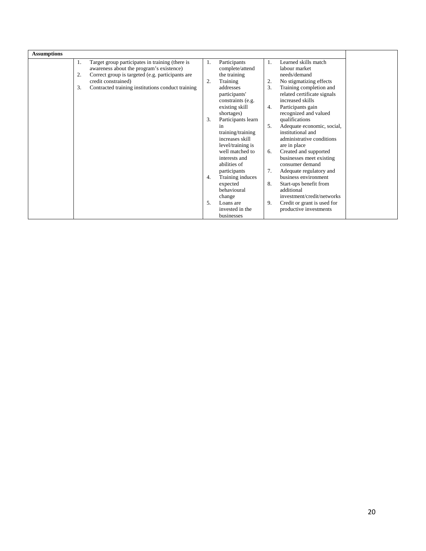| <b>Assumptions</b> |    |                                                   |    |                    |                |                             |
|--------------------|----|---------------------------------------------------|----|--------------------|----------------|-----------------------------|
|                    | 1. | Target group participates in training (there is   | 1. | Participants       | 1.             | Learned skills match        |
|                    |    | awareness about the program's existence)          |    | complete/attend    |                | labour market               |
|                    | 2. | Correct group is targeted (e.g. participants are  |    | the training       |                | needs/demand                |
|                    |    | credit constrained)                               | 2. | Training           | $\overline{2}$ | No stigmatizing effects     |
|                    | 3. | Contracted training institutions conduct training |    | addresses          | 3.             | Training completion and     |
|                    |    |                                                   |    | participants'      |                | related certificate signals |
|                    |    |                                                   |    | constraints (e.g.  |                | increased skills            |
|                    |    |                                                   |    | existing skill     | 4.             | Participants gain           |
|                    |    |                                                   |    | shortages)         |                | recognized and valued       |
|                    |    |                                                   | 3. | Participants learn |                | qualifications              |
|                    |    |                                                   |    | 1n                 | 5.             | Adequate economic, social,  |
|                    |    |                                                   |    | training/training  |                | institutional and           |
|                    |    |                                                   |    | increases skill    |                | administrative conditions   |
|                    |    |                                                   |    | level/training is  |                | are in place                |
|                    |    |                                                   |    | well matched to    | 6.             | Created and supported       |
|                    |    |                                                   |    | interests and      |                | businesses meet existing    |
|                    |    |                                                   |    | abilities of       |                | consumer demand             |
|                    |    |                                                   |    | participants       | 7.             | Adequate regulatory and     |
|                    |    |                                                   | 4. | Training induces   |                | business environment        |
|                    |    |                                                   |    | expected           | 8.             | Start-ups benefit from      |
|                    |    |                                                   |    | behavioural        |                | additional                  |
|                    |    |                                                   |    | change             |                | investment/credit/networks  |
|                    |    |                                                   | 5. | Loans are          | 9.             | Credit or grant is used for |
|                    |    |                                                   |    | invested in the    |                | productive investments      |
|                    |    |                                                   |    | businesses         |                |                             |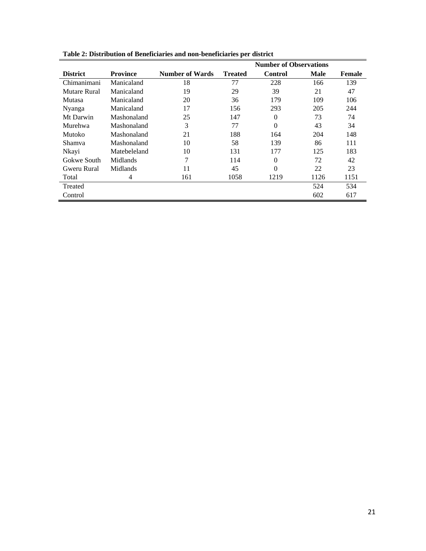|                 |                 |                        | <b>Number of Observations</b> |          |      |               |
|-----------------|-----------------|------------------------|-------------------------------|----------|------|---------------|
| <b>District</b> | <b>Province</b> | <b>Number of Wards</b> | <b>Treated</b>                | Control  | Male | <b>Female</b> |
| Chimanimani     | Manicaland      | 18                     | 77                            | 228      | 166  | 139           |
| Mutare Rural    | Manicaland      | 19                     | 29                            | 39       | 21   | 47            |
| Mutasa          | Manicaland      | 20                     | 36                            | 179      | 109  | 106           |
| Nyanga          | Manicaland      | 17                     | 156                           | 293      | 205  | 244           |
| Mt Darwin       | Mashonaland     | 25                     | 147                           | $\Omega$ | 73   | 74            |
| Murehwa         | Mashonaland     | 3                      | 77                            | $\theta$ | 43   | 34            |
| Mutoko          | Mashonaland     | 21                     | 188                           | 164      | 204  | 148           |
| Shamva          | Mashonaland     | 10                     | 58                            | 139      | 86   | 111           |
| Nkayi           | Matebeleland    | 10                     | 131                           | 177      | 125  | 183           |
| Gokwe South     | Midlands        | 7                      | 114                           | $\theta$ | 72   | 42            |
| Gweru Rural     | Midlands        | 11                     | 45                            | $\theta$ | 22   | 23            |
| Total           | 4               | 161                    | 1058                          | 1219     | 1126 | 1151          |
| Treated         |                 |                        |                               |          | 524  | 534           |
| Control         |                 |                        |                               |          | 602  | 617           |

**Table 2: Distribution of Beneficiaries and non-beneficiaries per district**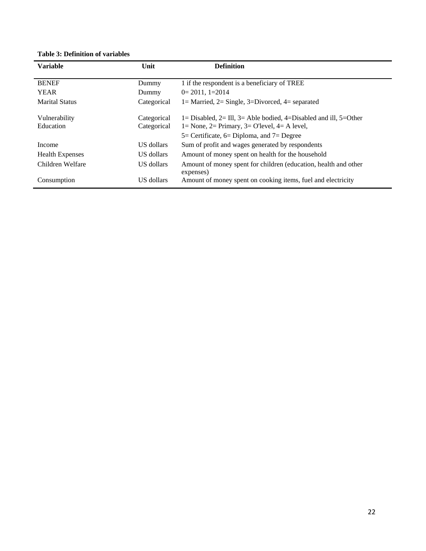## **Table 3: Definition of variables**

| <b>Variable</b>        | Unit        | <b>Definition</b>                                                            |
|------------------------|-------------|------------------------------------------------------------------------------|
| <b>BENEF</b>           | Dummy       | 1 if the respondent is a beneficiary of TREE                                 |
| <b>YEAR</b>            | Dummy       | $0=2011, 1=2014$                                                             |
| <b>Marital Status</b>  | Categorical | 1 = Married, 2 = Single, 3 = Divorced, 4 = separated                         |
| Vulnerability          | Categorical | 1= Disabled, 2= Ill, 3= Able bodied, 4=Disabled and ill, 5=Other             |
| Education              | Categorical | $1 = None$ , $2 = Primary$ , $3 = O$ Tevel, $4 = A$ level,                   |
|                        |             | $5=$ Certificate, $6=$ Diploma, and $7=$ Degree                              |
| Income                 | US dollars  | Sum of profit and wages generated by respondents                             |
| <b>Health Expenses</b> | US dollars  | Amount of money spent on health for the household                            |
| Children Welfare       | US dollars  | Amount of money spent for children (education, health and other<br>expenses) |
| Consumption            | US dollars  | Amount of money spent on cooking items, fuel and electricity                 |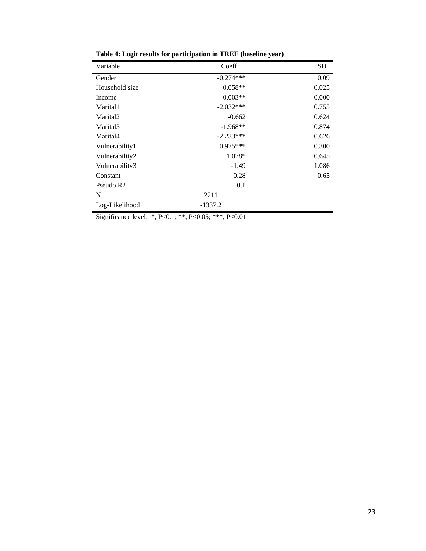| Variable              | Coeff.      | <b>SD</b> |
|-----------------------|-------------|-----------|
| Gender                | $-0.274***$ | 0.09      |
| Household size        | $0.058**$   | 0.025     |
| Income                | $0.003**$   | 0.000     |
| Marital1              | $-2.032***$ | 0.755     |
| Marital <sub>2</sub>  | $-0.662$    | 0.624     |
| Marital3              | $-1.968**$  | 0.874     |
| Marital4              | $-2.233***$ | 0.626     |
| Vulnerability1        | $0.975***$  | 0.300     |
| Vulnerability2        | 1.078*      | 0.645     |
| Vulnerability3        | $-1.49$     | 1.086     |
| Constant              | 0.28        | 0.65      |
| Pseudo R <sub>2</sub> | 0.1         |           |
| N                     | 2211        |           |
| Log-Likelihood        | $-1337.2$   |           |

**Table 4: Logit results for participation in TREE (baseline year)**

Significance level: \*, P<0.1; \*\*, P<0.05; \*\*\*, P<0.01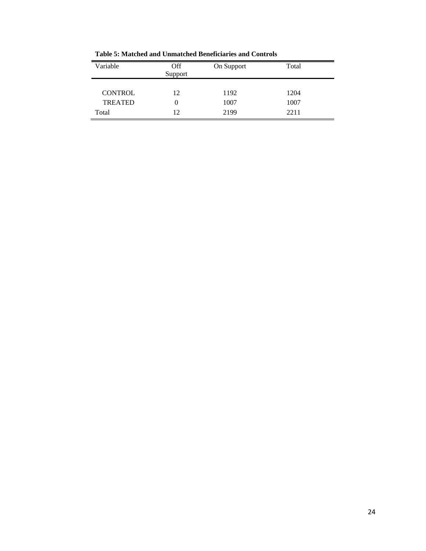| Variable                         | <b>Off</b><br>Support | On Support   | Total        |
|----------------------------------|-----------------------|--------------|--------------|
| <b>CONTROL</b><br><b>TREATED</b> | 12<br>0               | 1192<br>1007 | 1204<br>1007 |
| Total                            | 12                    | 2199         | 2211         |

**Table 5: Matched and Unmatched Beneficiaries and Controls**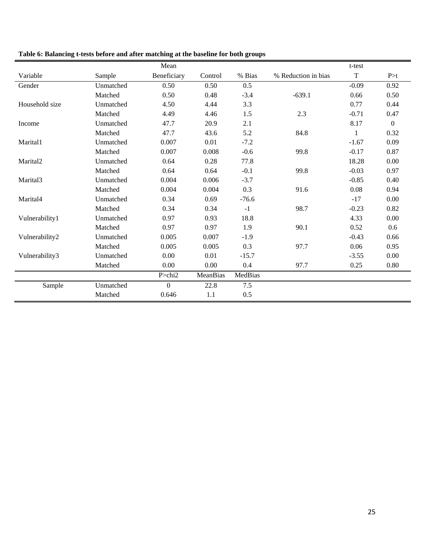|                      |           | Mean             |          |         |                     | t-test      |              |
|----------------------|-----------|------------------|----------|---------|---------------------|-------------|--------------|
| Variable             | Sample    | Beneficiary      | Control  | % Bias  | % Reduction in bias | $\mathbf T$ | P > t        |
| Gender               | Unmatched | 0.50             | 0.50     | 0.5     |                     | $-0.09$     | 0.92         |
|                      | Matched   | 0.50             | 0.48     | $-3.4$  | $-639.1$            | 0.66        | 0.50         |
| Household size       | Unmatched | 4.50             | 4.44     | 3.3     |                     | 0.77        | 0.44         |
|                      | Matched   | 4.49             | 4.46     | $1.5$   | 2.3                 | $-0.71$     | 0.47         |
| Income               | Unmatched | 47.7             | 20.9     | 2.1     |                     | 8.17        | $\mathbf{0}$ |
|                      | Matched   | 47.7             | 43.6     | 5.2     | 84.8                |             | 0.32         |
| Marital1             | Unmatched | 0.007            | 0.01     | $-7.2$  |                     | $-1.67$     | 0.09         |
|                      | Matched   | 0.007            | 0.008    | $-0.6$  | 99.8                | $-0.17$     | 0.87         |
| Marital <sub>2</sub> | Unmatched | 0.64             | 0.28     | 77.8    |                     | 18.28       | 0.00         |
|                      | Matched   | 0.64             | 0.64     | $-0.1$  | 99.8                | $-0.03$     | 0.97         |
| Marital3             | Unmatched | 0.004            | 0.006    | $-3.7$  |                     | $-0.85$     | 0.40         |
|                      | Matched   | 0.004            | 0.004    | 0.3     | 91.6                | 0.08        | 0.94         |
| Marital4             | Unmatched | 0.34             | 0.69     | $-76.6$ |                     | $-17$       | 0.00         |
|                      | Matched   | 0.34             | 0.34     | $-1$    | 98.7                | $-0.23$     | 0.82         |
| Vulnerability1       | Unmatched | 0.97             | 0.93     | 18.8    |                     | 4.33        | $0.00\,$     |
|                      | Matched   | 0.97             | 0.97     | 1.9     | 90.1                | 0.52        | 0.6          |
| Vulnerability2       | Unmatched | 0.005            | 0.007    | $-1.9$  |                     | $-0.43$     | 0.66         |
|                      | Matched   | 0.005            | 0.005    | 0.3     | 97.7                | 0.06        | 0.95         |
| Vulnerability3       | Unmatched | 0.00             | 0.01     | $-15.7$ |                     | $-3.55$     | 0.00         |
|                      | Matched   | 0.00             | 0.00     | 0.4     | 97.7                | 0.25        | 0.80         |
|                      |           | $P >$ chi2       | MeanBias | MedBias |                     |             |              |
| Sample               | Unmatched | $\boldsymbol{0}$ | 22.8     | 7.5     |                     |             |              |
|                      | Matched   | 0.646            | 1.1      | 0.5     |                     |             |              |

## **Table 6: Balancing t-tests before and after matching at the baseline for both groups**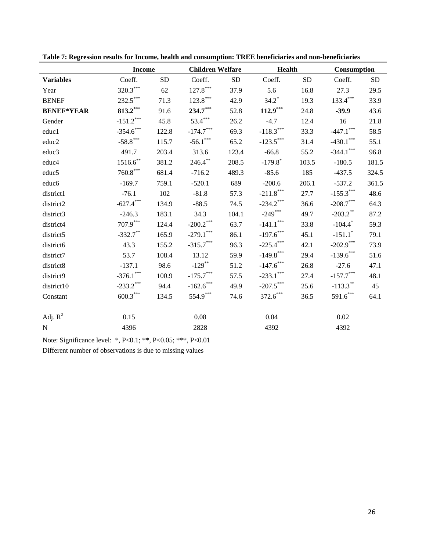|                   | <b>Income</b> |           | <b>Children Welfare</b>               |           | <b>Health</b>         |           | Consumption                      |           |
|-------------------|---------------|-----------|---------------------------------------|-----------|-----------------------|-----------|----------------------------------|-----------|
| <b>Variables</b>  | Coeff.        | <b>SD</b> | Coeff.                                | <b>SD</b> | Coeff.                | <b>SD</b> | Coeff.                           | <b>SD</b> |
| Year              | $320.3***$    | 62        | $127.8***$                            | 37.9      | 5.6                   | 16.8      | 27.3                             | 29.5      |
| <b>BENEF</b>      | $232.5***$    | 71.3      | $123.8***$                            | 42.9      | $34.2^*$              | 19.3      | $133.4***$                       | 33.9      |
| <b>BENEF*YEAR</b> | $813.2***$    | 91.6      | $234.7***$                            | 52.8      | $112.9***$            | 24.8      | $-39.9$                          | 43.6      |
| Gender            | $-151.2***$   | 45.8      | $53.4***$                             | 26.2      | $-4.7$                | 12.4      | 16                               | 21.8      |
| educ1             | $-354.6$ ***  | 122.8     | $-174.7***$                           | 69.3      | $-118.3***$           | 33.3      | $-447.1$ ***                     | 58.5      |
| educ2             | $-58.8$ ***   | 115.7     | $-56.1***$                            | 65.2      | $-123.5***$           | 31.4      | $-430.1***$                      | 55.1      |
| educ3             | 491.7         | 203.4     | 313.6                                 | 123.4     | $-66.8$               | 55.2      | $-344.1***$                      | 96.8      |
| educ4             | $1516.6$ **   | 381.2     | $246.4***$                            | 208.5     | $-179.8$ <sup>*</sup> | 103.5     | $-180.5$                         | 181.5     |
| educ5             | $760.8***$    | 681.4     | $-716.2$                              | 489.3     | $-85.6$               | 185       | $-437.5$                         | 324.5     |
| educ <sub>6</sub> | $-169.7$      | 759.1     | $-520.1$                              | 689       | $-200.6$              | 206.1     | $-537.2$                         | 361.5     |
| district1         | $-76.1$       | 102       | $-81.8$                               | 57.3      | $-211.8***$           | 27.7      | $-155.3***$                      | 48.6      |
| district2         | $-627.4***$   | 134.9     | $-88.5$                               | 74.5      | $-234.2$ ***          | 36.6      | $-208.7***$                      | 64.3      |
| district3         | $-246.3$      | 183.1     | 34.3                                  | 104.1     | $-249***$             | 49.7      | $-203.2$ **                      | 87.2      |
| district4         | $707.9***$    | 124.4     | $\text{-}200.2$ $\!\!^{\ast\ast\ast}$ | 63.7      | $-141.1***$           | 33.8      | $-104.4$ <sup>*</sup>            | 59.3      |
| district5         | $-332.7$ **   | 165.9     | $-279.1$ ***                          | 86.1      | $-197.6$ ***          | 45.1      | $-151.1$ <sup>*</sup>            | 79.1      |
| district6         | 43.3          | 155.2     | $-315.7***$                           | 96.3      | $-225.4***$           | 42.1      | $-202.9***$                      | 73.9      |
| district7         | 53.7          | 108.4     | 13.12                                 | 59.9      | $-149.8***$           | 29.4      | $-139.6$ ***                     | 51.6      |
| district8         | $-137.1$      | 98.6      | $-129$ **                             | 51.2      | $-147.6$ ***          | 26.8      | $-27.6$                          | 47.1      |
| district9         | $-376.1***$   | 100.9     | $-175.7***$                           | 57.5      | $-233.1***$           | 27.4      | $\textbf{-157.7}^{\ast\ast\ast}$ | 48.1      |
| district10        | $-233.2$ ***  | 94.4      | $-162.6$ ***                          | 49.9      | $-207.5***$           | 25.6      | $-113.3***$                      | 45        |
| Constant          | $600.3***$    | 134.5     | $554.9***$                            | 74.6      | $372.6***$            | 36.5      | $591.6***$                       | 64.1      |
|                   |               |           |                                       |           |                       |           |                                  |           |
| Adj. $R^2$        | 0.15          |           | 0.08                                  |           | 0.04                  |           | 0.02                             |           |
| ${\bf N}$         | 4396          |           | 2828                                  |           | 4392                  |           | 4392                             |           |

**Table 7: Regression results for Income, health and consumption: TREE beneficiaries and non-beneficiaries**

Note: Significance level: \*, P<0.1; \*\*, P<0.05; \*\*\*, P<0.01

Different number of observations is due to missing values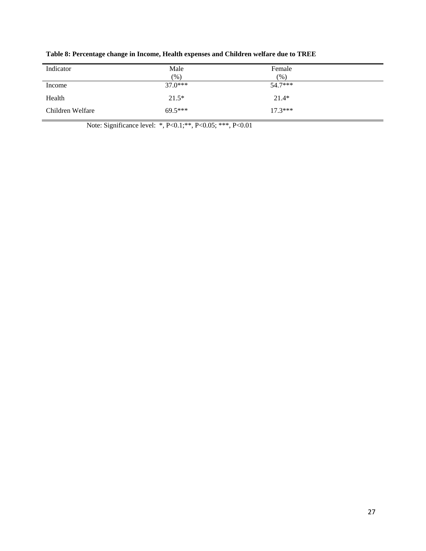| Indicator        | Male<br>$(\%)$ | Female<br>(%) |  |
|------------------|----------------|---------------|--|
| Income           | $37.0***$      | $54.7***$     |  |
| Health           | $21.5*$        | $21.4*$       |  |
| Children Welfare | $69.5***$      | $17.3***$     |  |

**Table 8: Percentage change in Income, Health expenses and Children welfare due to TREE**

Note: Significance level: \*, P<0.1; \*\*, P<0.05; \*\*\*, P<0.01